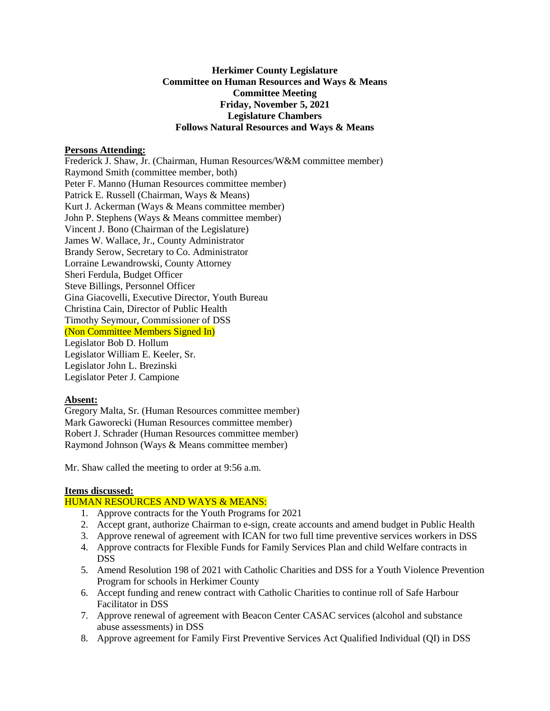# **Herkimer County Legislature Committee on Human Resources and Ways & Means Committee Meeting Friday, November 5, 2021 Legislature Chambers Follows Natural Resources and Ways & Means**

#### **Persons Attending:**

Frederick J. Shaw, Jr. (Chairman, Human Resources/W&M committee member) Raymond Smith (committee member, both) Peter F. Manno (Human Resources committee member) Patrick E. Russell (Chairman, Ways & Means) Kurt J. Ackerman (Ways & Means committee member) John P. Stephens (Ways & Means committee member) Vincent J. Bono (Chairman of the Legislature) James W. Wallace, Jr., County Administrator Brandy Serow, Secretary to Co. Administrator Lorraine Lewandrowski, County Attorney Sheri Ferdula, Budget Officer Steve Billings, Personnel Officer Gina Giacovelli, Executive Director, Youth Bureau Christina Cain, Director of Public Health Timothy Seymour, Commissioner of DSS (Non Committee Members Signed In) Legislator Bob D. Hollum Legislator William E. Keeler, Sr. Legislator John L. Brezinski Legislator Peter J. Campione

### **Absent:**

Gregory Malta, Sr. (Human Resources committee member) Mark Gaworecki (Human Resources committee member) Robert J. Schrader (Human Resources committee member) Raymond Johnson (Ways & Means committee member)

Mr. Shaw called the meeting to order at 9:56 a.m.

### **Items discussed:**

### HUMAN RESOURCES AND WAYS & MEANS:

- 1. Approve contracts for the Youth Programs for 2021
- 2. Accept grant, authorize Chairman to e-sign, create accounts and amend budget in Public Health
- 3. Approve renewal of agreement with ICAN for two full time preventive services workers in DSS
- 4. Approve contracts for Flexible Funds for Family Services Plan and child Welfare contracts in DSS
- 5. Amend Resolution 198 of 2021 with Catholic Charities and DSS for a Youth Violence Prevention Program for schools in Herkimer County
- 6. Accept funding and renew contract with Catholic Charities to continue roll of Safe Harbour Facilitator in DSS
- 7. Approve renewal of agreement with Beacon Center CASAC services (alcohol and substance abuse assessments) in DSS
- 8. Approve agreement for Family First Preventive Services Act Qualified Individual (QI) in DSS